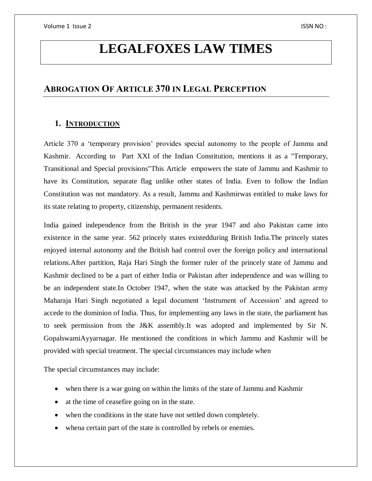# **LEGALFOXES LAW TIMES**

### **ABROGATION OF ARTICLE 370 IN LEGAL PERCEPTION**

#### **1. INTRODUCTION**

Article 370 a 'temporary provision' provides special autonomy to the people of Jammu and Kashmir. According to Part XXI of the Indian Constitution, mentions it as a "Temporary, Transitional and Special provisions"This Article empowers the state of Jammu and Kashmir to have its Constitution, separate flag unlike other states of India. Even to follow the Indian Constitution was not mandatory. As a result, Jammu and Kashmirwas entitled to make laws for its state relating to property, citizenship, permanent residents.

India gained independence from the British in the year 1947 and also Pakistan came into existence in the same year. 562 princely states existedduring British India.The princely states enjoyed internal autonomy and the British had control over the foreign policy and international relations.After partition, Raja Hari Singh the former ruler of the princely state of Jammu and Kashmir declined to be a part of either India or Pakistan after independence and was willing to be an independent state.In October 1947, when the state was attacked by the Pakistan army Maharaja Hari Singh negotiated a legal document 'Instrument of Accession' and agreed to accede to the dominion of India. Thus, for implementing any laws in the state, the parliament has to seek permission from the J&K assembly.It was adopted and implemented by Sir N. GopalswamiAyyarnagar. He mentioned the conditions in which Jammu and Kashmir will be provided with special treatment. The special circumstances may include when

The special circumstances may include:

- when there is a war going on within the limits of the state of Jammu and Kashmir
- at the time of ceasefire going on in the state.
- when the conditions in the state have not settled down completely.
- whena certain part of the state is controlled by rebels or enemies.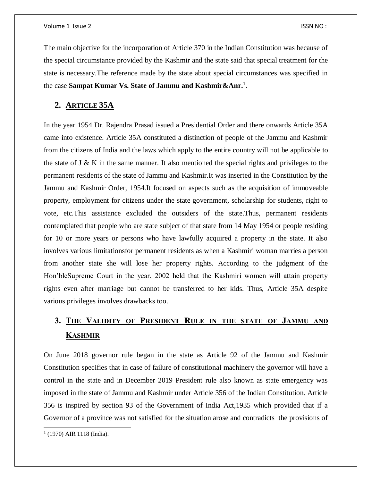The main objective for the incorporation of Article 370 in the Indian Constitution was because of the special circumstance provided by the Kashmir and the state said that special treatment for the state is necessary.The reference made by the state about special circumstances was specified in the case **Sampat Kumar Vs. State of Jammu and Kashmir&Anr.**<sup>1</sup> .

#### **2. ARTICLE 35A**

In the year 1954 Dr. Rajendra Prasad issued a Presidential Order and there onwards Article 35A came into existence. Article 35A constituted a distinction of people of the Jammu and Kashmir from the citizens of India and the laws which apply to the entire country will not be applicable to the state of  $J \& K$  in the same manner. It also mentioned the special rights and privileges to the permanent residents of the state of Jammu and Kashmir.It was inserted in the Constitution by the Jammu and Kashmir Order, 1954.It focused on aspects such as the acquisition of immoveable property, employment for citizens under the state government, scholarship for students, right to vote, etc.This assistance excluded the outsiders of the state.Thus, permanent residents contemplated that people who are state subject of that state from 14 May 1954 or people residing for 10 or more years or persons who have lawfully acquired a property in the state. It also involves various limitationsfor permanent residents as when a Kashmiri woman marries a person from another state she will lose her property rights. According to the judgment of the Hon'bleSupreme Court in the year, 2002 held that the Kashmiri women will attain property rights even after marriage but cannot be transferred to her kids. Thus, Article 35A despite various privileges involves drawbacks too.

## **3. THE VALIDITY OF PRESIDENT RULE IN THE STATE OF JAMMU AND KASHMIR**

On June 2018 governor rule began in the state as Article 92 of the Jammu and Kashmir Constitution specifies that in case of failure of constitutional machinery the governor will have a control in the state and in December 2019 President rule also known as state emergency was imposed in the state of Jammu and Kashmir under Article 356 of the Indian Constitution. Article 356 is inspired by section 93 of the Government of India Act,1935 which provided that if a Governor of a province was not satisfied for the situation arose and contradicts the provisions of

 $\overline{a}$ 

<sup>1</sup> (1970) AIR 1118 (India).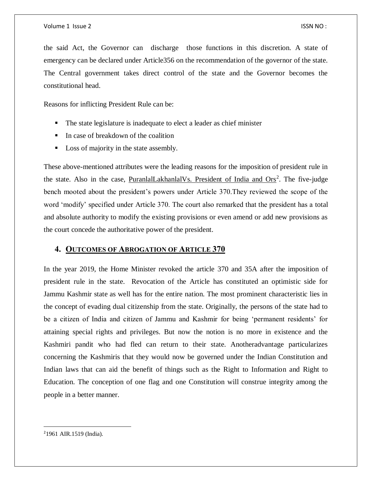the said Act, the Governor can discharge those functions in this discretion. A state of emergency can be declared under Article356 on the recommendation of the governor of the state. The Central government takes direct control of the state and the Governor becomes the constitutional head.

Reasons for inflicting President Rule can be:

- The state legislature is inadequate to elect a leader as chief minister
- In case of breakdown of the coalition
- Loss of majority in the state assembly.

These above-mentioned attributes were the leading reasons for the imposition of president rule in the state. Also in the case, PuranlalLakhanlalVs. President of India and Ors<sup>2</sup>. The five-judge bench mooted about the president's powers under Article 370.They reviewed the scope of the word 'modify' specified under Article 370. The court also remarked that the president has a total and absolute authority to modify the existing provisions or even amend or add new provisions as the court concede the authoritative power of the president.

#### **4. OUTCOMES OF ABROGATION OF ARTICLE 370**

In the year 2019, the Home Minister revoked the article 370 and 35A after the imposition of president rule in the state. Revocation of the Article has constituted an optimistic side for Jammu Kashmir state as well has for the entire nation. The most prominent characteristic lies in the concept of evading dual citizenship from the state. Originally, the persons of the state had to be a citizen of India and citizen of Jammu and Kashmir for being 'permanent residents' for attaining special rights and privileges. But now the notion is no more in existence and the Kashmiri pandit who had fled can return to their state. Anotheradvantage particularizes concerning the Kashmiris that they would now be governed under the Indian Constitution and Indian laws that can aid the benefit of things such as the Right to Information and Right to Education. The conception of one flag and one Constitution will construe integrity among the people in a better manner.

 $\overline{a}$ 

<sup>2</sup>1961 AIR.1519 (India).